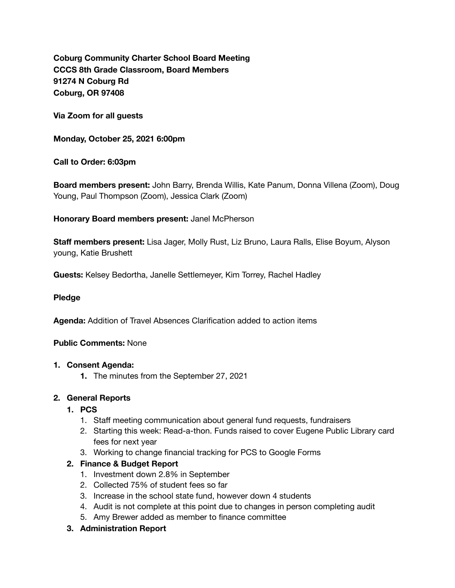**Coburg Community Charter School Board Meeting CCCS 8th Grade Classroom, Board Members 91274 N Coburg Rd Coburg, OR 97408** 

**Via Zoom for all guests** 

**Monday, October 25, 2021 6:00pm** 

**Call to Order: 6:03pm** 

**Board members present:** John Barry, Brenda Willis, Kate Panum, Donna Villena (Zoom), Doug Young, Paul Thompson (Zoom), Jessica Clark (Zoom)

**Honorary Board members present:** Janel McPherson

**Staff members present:** Lisa Jager, Molly Rust, Liz Bruno, Laura Ralls, Elise Boyum, Alyson young, Katie Brushett

**Guests:** Kelsey Bedortha, Janelle Settlemeyer, Kim Torrey, Rachel Hadley

#### **Pledge**

**Agenda:** Addition of Travel Absences Clarification added to action items

## **Public Comments:** None

#### **1. Consent Agenda:**

**1.** The minutes from the September 27, 2021

## **2. General Reports**

- **1. PCS** 
	- 1. Staff meeting communication about general fund requests, fundraisers
	- 2. Starting this week: Read-a-thon. Funds raised to cover Eugene Public Library card fees for next year
	- 3. Working to change financial tracking for PCS to Google Forms

## **2. Finance & Budget Report**

- 1. Investment down 2.8% in September
- 2. Collected 75% of student fees so far
- 3. Increase in the school state fund, however down 4 students
- 4. Audit is not complete at this point due to changes in person completing audit
- 5. Amy Brewer added as member to finance committee
- **3. Administration Report**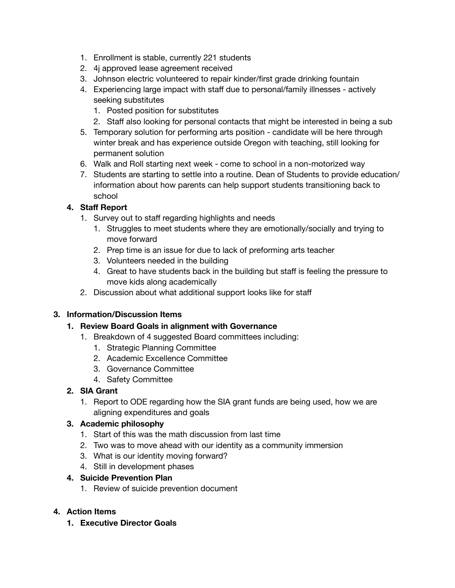- 1. Enrollment is stable, currently 221 students
- 2. 4j approved lease agreement received
- 3. Johnson electric volunteered to repair kinder/first grade drinking fountain
- 4. Experiencing large impact with staff due to personal/family illnesses actively seeking substitutes
	- 1. Posted position for substitutes
	- 2. Staff also looking for personal contacts that might be interested in being a sub
- 5. Temporary solution for performing arts position candidate will be here through winter break and has experience outside Oregon with teaching, still looking for permanent solution
- 6. Walk and Roll starting next week come to school in a non-motorized way
- 7. Students are starting to settle into a routine. Dean of Students to provide education/ information about how parents can help support students transitioning back to school

# **4. Staff Report**

- 1. Survey out to staff regarding highlights and needs
	- 1. Struggles to meet students where they are emotionally/socially and trying to move forward
	- 2. Prep time is an issue for due to lack of preforming arts teacher
	- 3. Volunteers needed in the building
	- 4. Great to have students back in the building but staff is feeling the pressure to move kids along academically
- 2. Discussion about what additional support looks like for staff

# **3. Information/Discussion Items**

## **1. Review Board Goals in alignment with Governance**

- 1. Breakdown of 4 suggested Board committees including:
	- 1. Strategic Planning Committee
	- 2. Academic Excellence Committee
	- 3. Governance Committee
	- 4. Safety Committee

# **2. SIA Grant**

1. Report to ODE regarding how the SIA grant funds are being used, how we are aligning expenditures and goals

# **3. Academic philosophy**

- 1. Start of this was the math discussion from last time
- 2. Two was to move ahead with our identity as a community immersion
- 3. What is our identity moving forward?
- 4. Still in development phases

## **4. Suicide Prevention Plan**

1. Review of suicide prevention document

# **4. Action Items**

**1. Executive Director Goals**